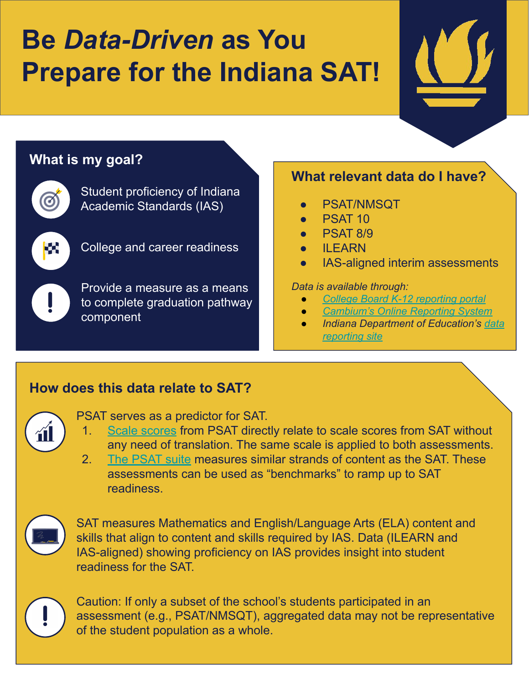# **Be** *Data-Driven* **as You Prepare for the Indiana SAT!**



## **What is my goal?**

Student proficiency of Indiana Academic Standards (IAS)



College and career readiness

Provide a measure as a means to complete graduation pathway component

### **What relevant data do I have?**

- PSAT/NMSQT
- **PSAT 10**
- **PSAT 8/9**
- **ILEARN**
- IAS-aligned interim assessments

#### *Data is available through:*

- *● [College Board K-12 reporting portal](https://k12reports.collegeboard.org/login)*
- *● [Cambium's Online Reporting System](https://ilearn.portal.cambiumast.com/)*
- *● Indiana Department of Education's [data](https://www.in.gov/doe/it/) [reporting site](https://www.in.gov/doe/it/)*

### **How does this data relate to SAT?**



PSAT serves as a predictor for SAT.

- 1. [Scale scores](https://collegereadiness.collegeboard.org/sat/scores/understanding-scores/interpreting) from PSAT directly relate to scale scores from SAT without any need of translation. The same scale is applied to both assessments.
- 2. [The PSAT suite](https://collegereadiness.collegeboard.org/about/scores/benchmarks) measures similar strands of content as the SAT. These assessments can be used as "benchmarks" to ramp up to SAT readiness.



SAT measures Mathematics and English/Language Arts (ELA) content and skills that align to content and skills required by IAS. Data (ILEARN and IAS-aligned) showing proficiency on IAS provides insight into student readiness for the SAT.

Caution: If only a subset of the school's students participated in an assessment (e.g., PSAT/NMSQT), aggregated data may not be representative of the student population as a whole.